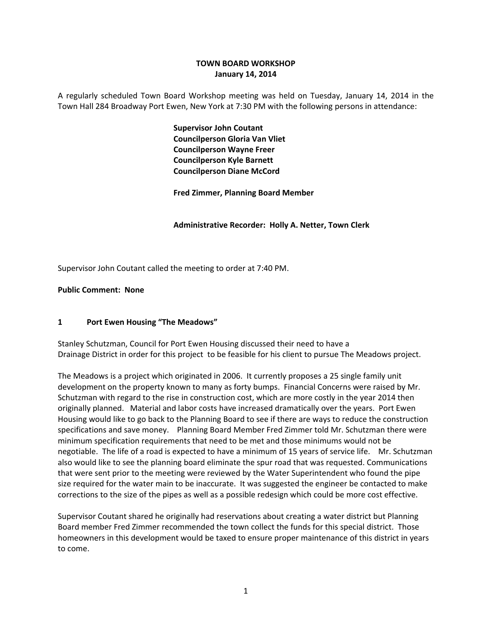## **TOWN BOARD WORKSHOP January 14, 2014**

A regularly scheduled Town Board Workshop meeting was held on Tuesday, January 14, 2014 in the Town Hall 284 Broadway Port Ewen, New York at 7:30 PM with the following persons in attendance:

> **Supervisor John Coutant Councilperson Gloria Van Vliet Councilperson Wayne Freer Councilperson Kyle Barnett Councilperson Diane McCord**

**Fred Zimmer, Planning Board Member**

 **Administrative Recorder: Holly A. Netter, Town Clerk**

Supervisor John Coutant called the meeting to order at 7:40 PM.

#### **Public Comment: None**

#### **1 Port Ewen Housing "The Meadows"**

Stanley Schutzman, Council for Port Ewen Housing discussed their need to have a Drainage District in order for this project to be feasible for his client to pursue The Meadows project.

The Meadows is a project which originated in 2006. It currently proposes a 25 single family unit development on the property known to many as forty bumps. Financial Concerns were raised by Mr. Schutzman with regard to the rise in construction cost, which are more costly in the year 2014 then originally planned. Material and labor costs have increased dramatically over the years. Port Ewen Housing would like to go back to the Planning Board to see if there are ways to reduce the construction specifications and save money. Planning Board Member Fred Zimmer told Mr. Schutzman there were minimum specification requirements that need to be met and those minimums would not be negotiable. The life of a road is expected to have a minimum of 15 years of service life. Mr. Schutzman also would like to see the planning board eliminate the spur road that was requested. Communications that were sent prior to the meeting were reviewed by the Water Superintendent who found the pipe size required for the water main to be inaccurate. It was suggested the engineer be contacted to make corrections to the size of the pipes as well as a possible redesign which could be more cost effective.

Supervisor Coutant shared he originally had reservations about creating a water district but Planning Board member Fred Zimmer recommended the town collect the funds for this special district. Those homeowners in this development would be taxed to ensure proper maintenance of this district in years to come.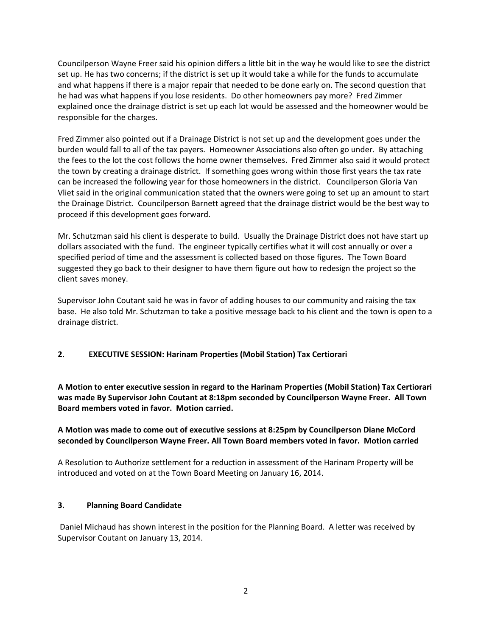Councilperson Wayne Freer said his opinion differs a little bit in the way he would like to see the district set up. He has two concerns; if the district is set up it would take a while for the funds to accumulate and what happens if there is a major repair that needed to be done early on. The second question that he had was what happens if you lose residents. Do other homeowners pay more? Fred Zimmer explained once the drainage district is set up each lot would be assessed and the homeowner would be responsible for the charges.

Fred Zimmer also pointed out if a Drainage District is not set up and the development goes under the burden would fall to all of the tax payers. Homeowner Associations also often go under. By attaching the fees to the lot the cost follows the home owner themselves. Fred Zimmer also said it would protect the town by creating a drainage district. If something goes wrong within those first years the tax rate can be increased the following year for those homeowners in the district. Councilperson Gloria Van Vliet said in the original communication stated that the owners were going to set up an amount to start the Drainage District. Councilperson Barnett agreed that the drainage district would be the best way to proceed if this development goes forward.

Mr. Schutzman said his client is desperate to build. Usually the Drainage District does not have start up dollars associated with the fund. The engineer typically certifies what it will cost annually or over a specified period of time and the assessment is collected based on those figures. The Town Board suggested they go back to their designer to have them figure out how to redesign the project so the client saves money.

Supervisor John Coutant said he was in favor of adding houses to our community and raising the tax base. He also told Mr. Schutzman to take a positive message back to his client and the town is open to a drainage district.

### **2. EXECUTIVE SESSION: Harinam Properties (Mobil Station) Tax Certiorari**

**A Motion to enter executive session in regard to the Harinam Properties (Mobil Station) Tax Certiorari was made By Supervisor John Coutant at 8:18pm seconded by Councilperson Wayne Freer. All Town Board members voted in favor. Motion carried.** 

## **A Motion was made to come out of executive sessions at 8:25pm by Councilperson Diane McCord seconded by Councilperson Wayne Freer. All Town Board members voted in favor. Motion carried**

A Resolution to Authorize settlement for a reduction in assessment of the Harinam Property will be introduced and voted on at the Town Board Meeting on January 16, 2014.

### **3. Planning Board Candidate**

Daniel Michaud has shown interest in the position for the Planning Board. A letter was received by Supervisor Coutant on January 13, 2014.